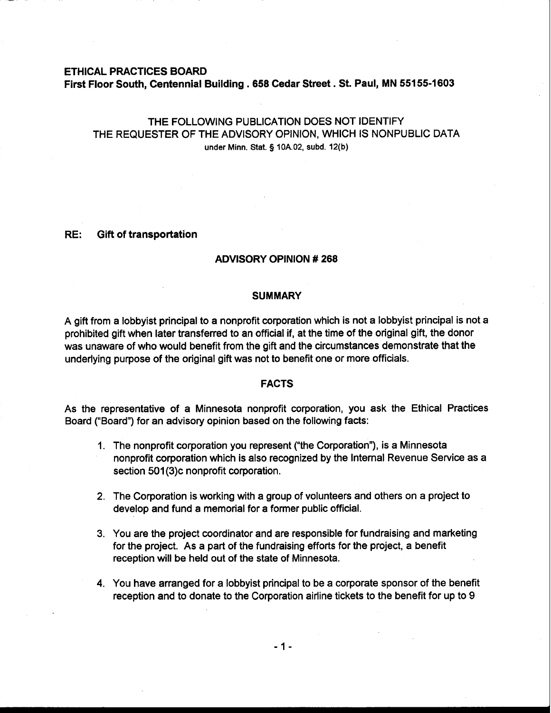## **ETHICAL PRACTICES BOARD**

**First Floor South, Centennial Building ,658 Cedar Street. St. Paul, MN 55155-1603** 

# THE FOLLOWING PUBLICATION DOES NOT IDENTIFY THE REQUESTER OF THE ADVISORY OPINION, WHICH IS NONPUBLIC DATA<br>under Minn. Stat. § 10A.02, subd. 12(b)

# **RE: Gift of transportation**

# **ADVISORY OPINION** # **268**

#### **SUMMARY**

A gift from a lobbyist principal to a nonprofit corporation which is not a lobbyist principal is not a prohibited gift when later transferred to an official if, at the time of the original gift, the donor was unaware of who would benefit from the gift and the circumstances demonstrate that the underlying purpose of the original gift was not to benefit one or more officials.

#### **FACTS**

As the representative of a Minnesota nonprofit corporation, you ask the Ethical Practices Board ("Board") for an advisory opinion based on the following facts:

- 1. The nonprofit corporation you represent ("the Corporation"), is a Minnesota nonprofit corporation which is also recognized by the Internal Revenue Service as a section 501(3)c nonprofit corporation.
- 2. The Corporation is working with a group of volunteers and others on a project to develop and fund a memorial for a former public official.
- 3. You are the project coordinator and are responsible for fundraising and marketing for the project. As a part of the fundraising efforts for the project, a benefit reception will be held out of the state of Minnesota.
- 4. You have arranged for a lobbyist principal to be a corporate sponsor of the benefit reception and to donate to the Corporation airline tickets to the benefit for up to 9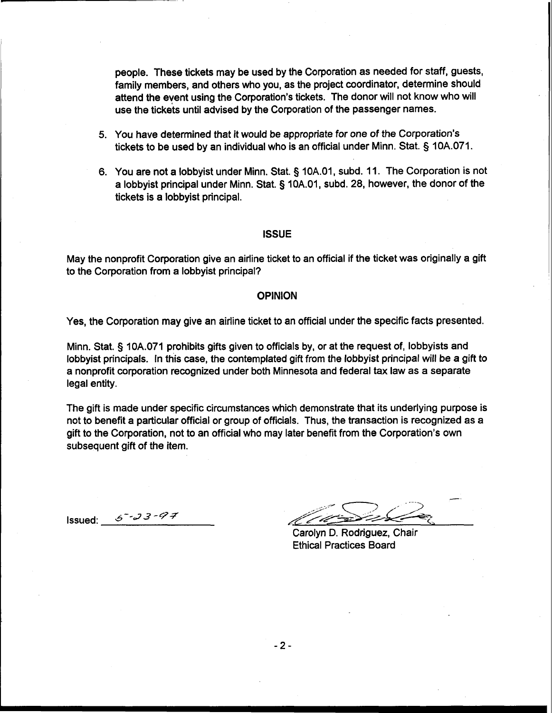people. These tickets may be used by the Corporation as needed for staff, guests, family members, and others who you, as the project coordinator, determine should attend the event using the Corporation's tickets. The donor will not know who will use the tickets until advised by the Corporation of the passenger names.

- 5. You have determined that it would be appropriate for one of the Corporation's tickets to be used by an individual who is an official under Minn. Stat. § 10A.071.
- 6. You are not a lobbyist under Minn. Stat. § 10A.O1, subd. 11. The Corporation is not a lobbyist principal under Minn. Stat. § 10A.O1, subd. 28, however, the donor of the tickets is a lobbyist principal.

## **ISSUE**

May the nonprofit Corporation give an airline ticket to an official if the ticket was originally a gift to the Corporation from a lobbyist principal?

#### **OPINION**

## Yes, the Corporation may give an airline ticket to an official under the specific facts presented.

Minn. Stat. § 10A.071 prohibits gifts given to officials by, or at the request of, lobbyists and lobbyist principals. In this case, the contemplated gift from the lobbyist principal will be a gift to a nonprofit corporation recognized under both Minnesota and federal tax law as a separate legal entity.

The gift is made under specific circumstances which demonstrate that its underlying purpose is not to benefit a particular official or group of officials. Thus, the transaction is recognized as a gift to the Corporation, not to an official who may later benefit from the Corporation's own subsequent gift of the item.

Issued: **&--d3** *-9g* 

Carolyn D. Rodriguez, Chair Ethical Practices Board